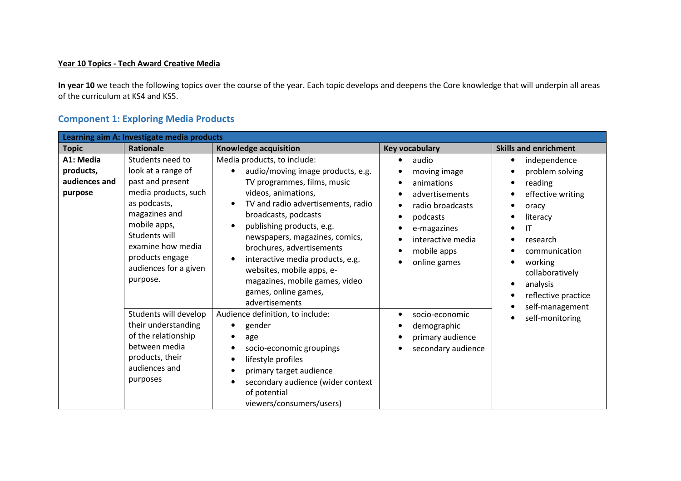## Year 10 Topics - Tech Award Creative Media

In year 10 we teach the following topics over the course of the year. Each topic develops and deepens the Core knowledge that will underpin all areas of the curriculum at KS4 and KS5.

| Learning aim A: Investigate media products         |                                                                                                                                                                                                                                   |                                                                                                                                                                                                                                                                                                                                                                                                                                                                                                                                                                                                                                                                                                                             |                                                                                                                                                                                                                                                                                                         |                              |
|----------------------------------------------------|-----------------------------------------------------------------------------------------------------------------------------------------------------------------------------------------------------------------------------------|-----------------------------------------------------------------------------------------------------------------------------------------------------------------------------------------------------------------------------------------------------------------------------------------------------------------------------------------------------------------------------------------------------------------------------------------------------------------------------------------------------------------------------------------------------------------------------------------------------------------------------------------------------------------------------------------------------------------------------|---------------------------------------------------------------------------------------------------------------------------------------------------------------------------------------------------------------------------------------------------------------------------------------------------------|------------------------------|
| <b>Topic</b>                                       | <b>Rationale</b>                                                                                                                                                                                                                  | Knowledge acquisition                                                                                                                                                                                                                                                                                                                                                                                                                                                                                                                                                                                                                                                                                                       | Key vocabulary                                                                                                                                                                                                                                                                                          | <b>Skills and enrichment</b> |
| A1: Media<br>products,<br>audiences and<br>purpose | Students need to<br>look at a range of<br>past and present<br>media products, such<br>as podcasts,<br>magazines and<br>mobile apps,<br>Students will<br>examine how media<br>products engage<br>audiences for a given<br>purpose. | Media products, to include:<br>audio<br>$\bullet$<br>audio/moving image products, e.g.<br>moving image<br>TV programmes, films, music<br>animations<br>videos, animations,<br>advertisements<br>TV and radio advertisements, radio<br>$\bullet$<br>radio broadcasts<br>$\bullet$<br>broadcasts, podcasts<br>podcasts<br>$\bullet$<br>publishing products, e.g.<br>$\bullet$<br>e-magazines<br>$\bullet$<br>newspapers, magazines, comics,<br>interactive media<br>$\bullet$<br>brochures, advertisements<br>mobile apps<br>$\bullet$<br>interactive media products, e.g.<br>$\bullet$<br>online games<br>$\bullet$<br>websites, mobile apps, e-<br>magazines, mobile games, video<br>games, online games,<br>advertisements | independence<br>$\bullet$<br>problem solving<br>reading<br>$\bullet$<br>effective writing<br>oracy<br>literacy<br>IT<br>$\epsilon$<br>research<br>$\bullet$<br>communication<br>working<br>$\bullet$<br>collaboratively<br>analysis<br>$\bullet$<br>reflective practice<br>$\bullet$<br>self-management |                              |
|                                                    | Students will develop<br>their understanding<br>of the relationship<br>between media<br>products, their<br>audiences and<br>purposes                                                                                              | Audience definition, to include:<br>gender<br>age<br>$\bullet$<br>socio-economic groupings<br>$\bullet$<br>lifestyle profiles<br>$\bullet$<br>primary target audience<br>$\bullet$<br>secondary audience (wider context<br>$\bullet$<br>of potential<br>viewers/consumers/users)                                                                                                                                                                                                                                                                                                                                                                                                                                            | socio-economic<br>٠<br>demographic<br>primary audience<br>$\bullet$<br>secondary audience                                                                                                                                                                                                               | self-monitoring<br>$\bullet$ |

## Component 1: Exploring Media Products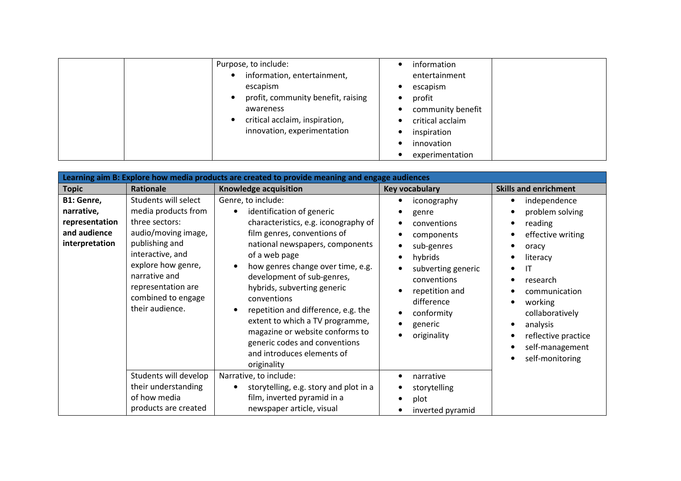| Purpose, to include:<br>escapism<br>awareness | information, entertainment,<br>profit, community benefit, raising<br>critical acclaim, inspiration,<br>innovation, experimentation<br>$\bullet$ | information<br>entertainment<br>escapism<br>profit<br>community benefit<br>critical acclaim<br>inspiration<br>innovation<br>experimentation |
|-----------------------------------------------|-------------------------------------------------------------------------------------------------------------------------------------------------|---------------------------------------------------------------------------------------------------------------------------------------------|
|-----------------------------------------------|-------------------------------------------------------------------------------------------------------------------------------------------------|---------------------------------------------------------------------------------------------------------------------------------------------|

| Learning aim B: Explore how media products are created to provide meaning and engage audiences |                                                                                                                                                                                                                                  |                                                                                                                                                                                                                                                                                                                                                                                                                                                                                        |                                                                                                                                                                                                                                                  |                                                                                                                                                                                                                                |
|------------------------------------------------------------------------------------------------|----------------------------------------------------------------------------------------------------------------------------------------------------------------------------------------------------------------------------------|----------------------------------------------------------------------------------------------------------------------------------------------------------------------------------------------------------------------------------------------------------------------------------------------------------------------------------------------------------------------------------------------------------------------------------------------------------------------------------------|--------------------------------------------------------------------------------------------------------------------------------------------------------------------------------------------------------------------------------------------------|--------------------------------------------------------------------------------------------------------------------------------------------------------------------------------------------------------------------------------|
| <b>Topic</b>                                                                                   | <b>Rationale</b>                                                                                                                                                                                                                 | Knowledge acquisition                                                                                                                                                                                                                                                                                                                                                                                                                                                                  | <b>Key vocabulary</b>                                                                                                                                                                                                                            | <b>Skills and enrichment</b>                                                                                                                                                                                                   |
| B1: Genre,<br>narrative,<br>representation<br>and audience<br>interpretation                   | Students will select<br>media products from<br>three sectors:<br>audio/moving image,<br>publishing and<br>interactive, and<br>explore how genre,<br>narrative and<br>representation are<br>combined to engage<br>their audience. | Genre, to include:<br>identification of generic<br>characteristics, e.g. iconography of<br>film genres, conventions of<br>national newspapers, components<br>of a web page<br>how genres change over time, e.g.<br>development of sub-genres,<br>hybrids, subverting generic<br>conventions<br>repetition and difference, e.g. the<br>extent to which a TV programme,<br>magazine or website conforms to<br>generic codes and conventions<br>and introduces elements of<br>originality | iconography<br>genre<br>٠<br>conventions<br>components<br>$\bullet$<br>sub-genres<br>hybrids<br>$\bullet$<br>subverting generic<br>conventions<br>repetition and<br>$\bullet$<br>difference<br>conformity<br>$\bullet$<br>generic<br>originality | independence<br>problem solving<br>reading<br>effective writing<br>oracy<br>literacy<br>ΙT<br>research<br>communication<br>working<br>collaboratively<br>analysis<br>reflective practice<br>self-management<br>self-monitoring |
|                                                                                                | Students will develop<br>their understanding<br>of how media<br>products are created                                                                                                                                             | Narrative, to include:<br>storytelling, e.g. story and plot in a<br>film, inverted pyramid in a<br>newspaper article, visual                                                                                                                                                                                                                                                                                                                                                           | narrative<br>$\bullet$<br>storytelling<br>plot<br>٠<br>inverted pyramid<br>$\bullet$                                                                                                                                                             |                                                                                                                                                                                                                                |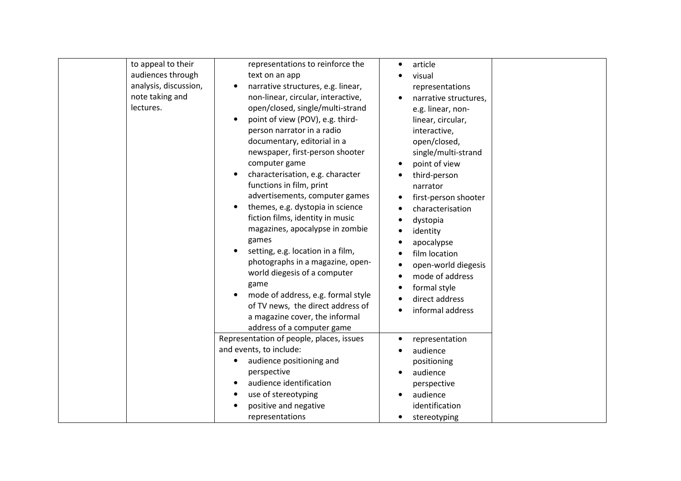| to appeal to their<br>audiences through<br>analysis, discussion,<br>note taking and<br>lectures. | representations to reinforce the<br>text on an app<br>narrative structures, e.g. linear,<br>non-linear, circular, interactive,<br>open/closed, single/multi-strand<br>point of view (POV), e.g. third-<br>person narrator in a radio<br>documentary, editorial in a<br>newspaper, first-person shooter<br>computer game<br>characterisation, e.g. character<br>functions in film, print<br>advertisements, computer games<br>themes, e.g. dystopia in science<br>fiction films, identity in music<br>magazines, apocalypse in zombie<br>games<br>setting, e.g. location in a film,<br>photographs in a magazine, open-<br>world diegesis of a computer | article<br>$\bullet$<br>visual<br>representations<br>narrative structures,<br>e.g. linear, non-<br>linear, circular,<br>interactive,<br>open/closed,<br>single/multi-strand<br>point of view<br>third-person<br>$\bullet$<br>narrator<br>first-person shooter<br>$\bullet$<br>characterisation<br>dystopia<br>identity<br>apocalypse<br>film location<br>open-world diegesis<br>$\bullet$<br>mode of address |
|--------------------------------------------------------------------------------------------------|--------------------------------------------------------------------------------------------------------------------------------------------------------------------------------------------------------------------------------------------------------------------------------------------------------------------------------------------------------------------------------------------------------------------------------------------------------------------------------------------------------------------------------------------------------------------------------------------------------------------------------------------------------|--------------------------------------------------------------------------------------------------------------------------------------------------------------------------------------------------------------------------------------------------------------------------------------------------------------------------------------------------------------------------------------------------------------|
|                                                                                                  | game<br>mode of address, e.g. formal style<br>of TV news, the direct address of<br>a magazine cover, the informal<br>address of a computer game                                                                                                                                                                                                                                                                                                                                                                                                                                                                                                        | formal style<br>$\bullet$<br>direct address<br>٠<br>informal address                                                                                                                                                                                                                                                                                                                                         |
|                                                                                                  | Representation of people, places, issues<br>and events, to include:<br>audience positioning and<br>perspective<br>audience identification                                                                                                                                                                                                                                                                                                                                                                                                                                                                                                              | representation<br>$\bullet$<br>audience<br>positioning<br>audience<br>$\bullet$<br>perspective                                                                                                                                                                                                                                                                                                               |
|                                                                                                  | use of stereotyping<br>positive and negative<br>representations                                                                                                                                                                                                                                                                                                                                                                                                                                                                                                                                                                                        | audience<br>identification<br>stereotyping<br>$\bullet$                                                                                                                                                                                                                                                                                                                                                      |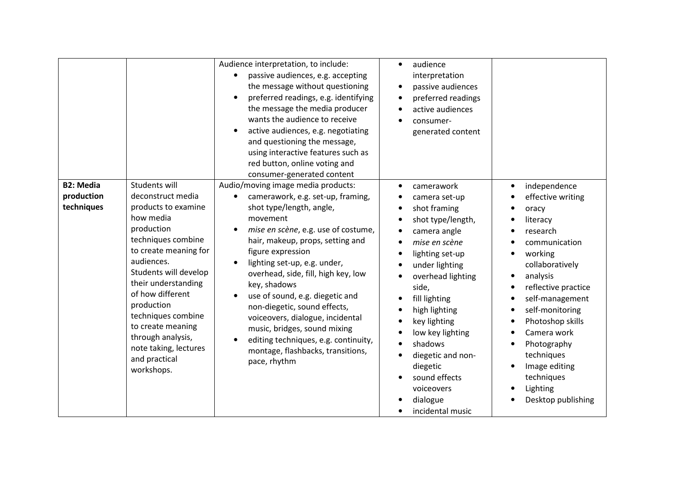|                                              |                                                                                                                                                                                                                                                                                                                                                             | Audience interpretation, to include:<br>passive audiences, e.g. accepting<br>the message without questioning<br>preferred readings, e.g. identifying<br>the message the media producer<br>wants the audience to receive<br>active audiences, e.g. negotiating<br>and questioning the message,<br>using interactive features such as<br>red button, online voting and<br>consumer-generated content                                                                                                                                         | audience<br>$\bullet$<br>interpretation<br>passive audiences<br>$\bullet$<br>preferred readings<br>$\bullet$<br>active audiences<br>$\bullet$<br>consumer-<br>generated content                                                                                                                                                                                                                                                                                                                                                             |                                                                                                                                                                                                                                                                                                                             |
|----------------------------------------------|-------------------------------------------------------------------------------------------------------------------------------------------------------------------------------------------------------------------------------------------------------------------------------------------------------------------------------------------------------------|--------------------------------------------------------------------------------------------------------------------------------------------------------------------------------------------------------------------------------------------------------------------------------------------------------------------------------------------------------------------------------------------------------------------------------------------------------------------------------------------------------------------------------------------|---------------------------------------------------------------------------------------------------------------------------------------------------------------------------------------------------------------------------------------------------------------------------------------------------------------------------------------------------------------------------------------------------------------------------------------------------------------------------------------------------------------------------------------------|-----------------------------------------------------------------------------------------------------------------------------------------------------------------------------------------------------------------------------------------------------------------------------------------------------------------------------|
| <b>B2: Media</b><br>production<br>techniques | Students will<br>deconstruct media<br>products to examine<br>how media<br>production<br>techniques combine<br>to create meaning for<br>audiences.<br>Students will develop<br>their understanding<br>of how different<br>production<br>techniques combine<br>to create meaning<br>through analysis,<br>note taking, lectures<br>and practical<br>workshops. | Audio/moving image media products:<br>camerawork, e.g. set-up, framing,<br>shot type/length, angle,<br>movement<br>mise en scène, e.g. use of costume,<br>hair, makeup, props, setting and<br>figure expression<br>lighting set-up, e.g. under,<br>overhead, side, fill, high key, low<br>key, shadows<br>use of sound, e.g. diegetic and<br>non-diegetic, sound effects,<br>voiceovers, dialogue, incidental<br>music, bridges, sound mixing<br>editing techniques, e.g. continuity,<br>montage, flashbacks, transitions,<br>pace, rhythm | camerawork<br>$\bullet$<br>camera set-up<br>shot framing<br>$\bullet$<br>shot type/length,<br>$\bullet$<br>camera angle<br>$\bullet$<br>mise en scène<br>$\bullet$<br>lighting set-up<br>$\bullet$<br>under lighting<br>$\bullet$<br>overhead lighting<br>$\bullet$<br>side,<br>fill lighting<br>$\bullet$<br>high lighting<br>$\bullet$<br>key lighting<br>$\bullet$<br>low key lighting<br>$\bullet$<br>shadows<br>$\bullet$<br>diegetic and non-<br>$\bullet$<br>diegetic<br>sound effects<br>voiceovers<br>dialogue<br>incidental music | independence<br>effective writing<br>oracy<br>literacy<br>research<br>communication<br>working<br>collaboratively<br>analysis<br>reflective practice<br>self-management<br>self-monitoring<br>Photoshop skills<br>Camera work<br>Photography<br>techniques<br>Image editing<br>techniques<br>Lighting<br>Desktop publishing |